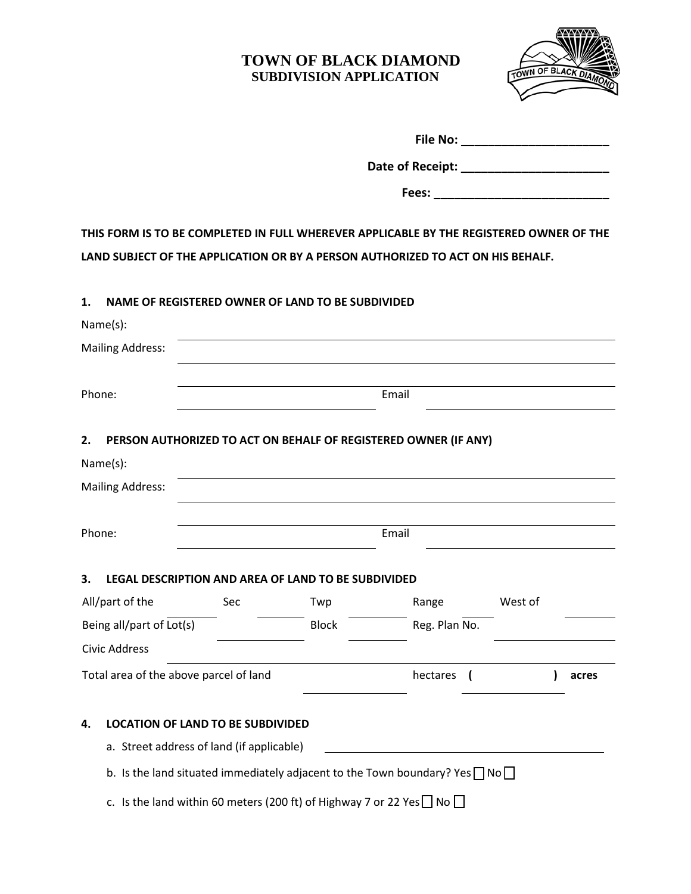

|                                        |                                                                                                                                                                            | File No: _________________________ |              |                                                                                                                                                                                                                                |         |       |  |  |
|----------------------------------------|----------------------------------------------------------------------------------------------------------------------------------------------------------------------------|------------------------------------|--------------|--------------------------------------------------------------------------------------------------------------------------------------------------------------------------------------------------------------------------------|---------|-------|--|--|
|                                        |                                                                                                                                                                            |                                    |              |                                                                                                                                                                                                                                |         |       |  |  |
|                                        |                                                                                                                                                                            |                                    |              | Fees: The contract of the contract of the contract of the contract of the contract of the contract of the contract of the contract of the contract of the contract of the contract of the contract of the contract of the cont |         |       |  |  |
|                                        | THIS FORM IS TO BE COMPLETED IN FULL WHEREVER APPLICABLE BY THE REGISTERED OWNER OF THE<br>LAND SUBJECT OF THE APPLICATION OR BY A PERSON AUTHORIZED TO ACT ON HIS BEHALF. |                                    |              |                                                                                                                                                                                                                                |         |       |  |  |
| 1.                                     | NAME OF REGISTERED OWNER OF LAND TO BE SUBDIVIDED                                                                                                                          |                                    |              |                                                                                                                                                                                                                                |         |       |  |  |
|                                        | Name(s):                                                                                                                                                                   |                                    |              |                                                                                                                                                                                                                                |         |       |  |  |
|                                        | <b>Mailing Address:</b>                                                                                                                                                    |                                    |              |                                                                                                                                                                                                                                |         |       |  |  |
|                                        |                                                                                                                                                                            |                                    |              |                                                                                                                                                                                                                                |         |       |  |  |
|                                        | Phone:                                                                                                                                                                     | Email                              |              |                                                                                                                                                                                                                                |         |       |  |  |
| 2.                                     |                                                                                                                                                                            |                                    |              | PERSON AUTHORIZED TO ACT ON BEHALF OF REGISTERED OWNER (IF ANY)                                                                                                                                                                |         |       |  |  |
|                                        | Name(s):                                                                                                                                                                   |                                    |              |                                                                                                                                                                                                                                |         |       |  |  |
|                                        | <b>Mailing Address:</b>                                                                                                                                                    |                                    |              |                                                                                                                                                                                                                                |         |       |  |  |
| Phone:                                 |                                                                                                                                                                            |                                    |              | Email                                                                                                                                                                                                                          |         |       |  |  |
| 3.                                     | LEGAL DESCRIPTION AND AREA OF LAND TO BE SUBDIVIDED                                                                                                                        |                                    |              |                                                                                                                                                                                                                                |         |       |  |  |
|                                        | All/part of the                                                                                                                                                            | Sec                                | Twp          | Range                                                                                                                                                                                                                          | West of |       |  |  |
| Being all/part of Lot(s)               |                                                                                                                                                                            |                                    | <b>Block</b> | Reg. Plan No.                                                                                                                                                                                                                  |         |       |  |  |
|                                        | Civic Address                                                                                                                                                              |                                    |              |                                                                                                                                                                                                                                |         |       |  |  |
| Total area of the above parcel of land |                                                                                                                                                                            |                                    |              | hectares                                                                                                                                                                                                                       |         | acres |  |  |
| 4.                                     | <b>LOCATION OF LAND TO BE SUBDIVIDED</b>                                                                                                                                   |                                    |              |                                                                                                                                                                                                                                |         |       |  |  |
|                                        | a. Street address of land (if applicable)                                                                                                                                  |                                    |              |                                                                                                                                                                                                                                |         |       |  |  |
|                                        |                                                                                                                                                                            |                                    |              | b. Is the land situated immediately adjacent to the Town boundary? Yes $\Box$ No $\Box$                                                                                                                                        |         |       |  |  |

c. Is the land within 60 meters (200 ft) of Highway 7 or 22 Yes  $\Box$  No  $\Box$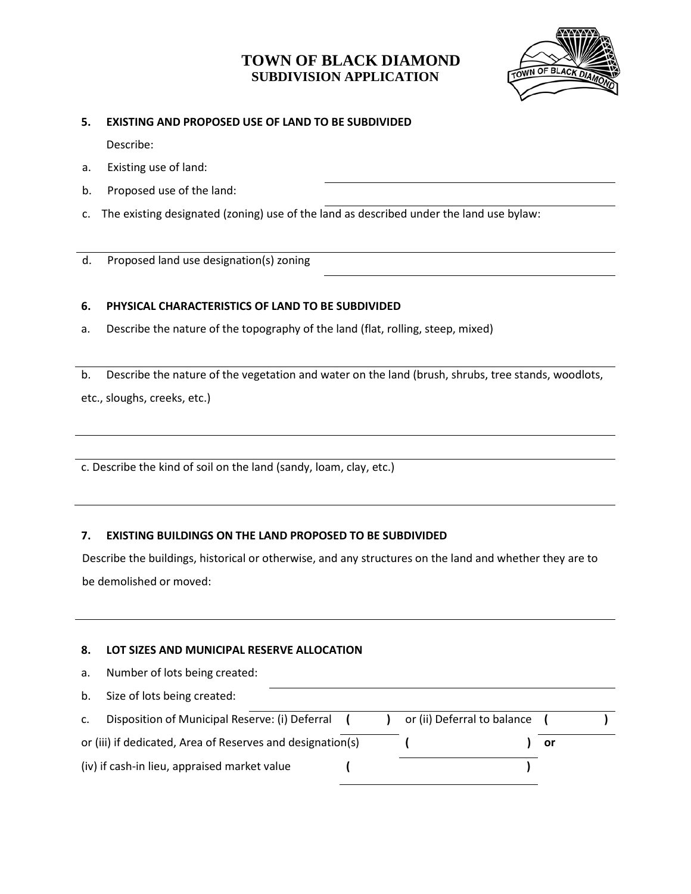

#### **5. EXISTING AND PROPOSED USE OF LAND TO BE SUBDIVIDED**

Describe:

- a. Existing use of land:
- b. Proposed use of the land:
- c. The existing designated (zoning) use of the land as described under the land use bylaw:

d. Proposed land use designation(s) zoning

### **6. PHYSICAL CHARACTERISTICS OF LAND TO BE SUBDIVIDED**

a. Describe the nature of the topography of the land (flat, rolling, steep, mixed)

b. Describe the nature of the vegetation and water on the land (brush, shrubs, tree stands, woodlots, etc., sloughs, creeks, etc.)

c. Describe the kind of soil on the land (sandy, loam, clay, etc.)

### **7. EXISTING BUILDINGS ON THE LAND PROPOSED TO BE SUBDIVIDED**

Describe the buildings, historical or otherwise, and any structures on the land and whether they are to be demolished or moved:

#### **8. LOT SIZES AND MUNICIPAL RESERVE ALLOCATION**

| a.                                                         | Number of lots being created:                  |  |                             |    |  |
|------------------------------------------------------------|------------------------------------------------|--|-----------------------------|----|--|
| b.                                                         | Size of lots being created:                    |  |                             |    |  |
| $\mathsf{C}$ .                                             | Disposition of Municipal Reserve: (i) Deferral |  | or (ii) Deferral to balance |    |  |
| or (iii) if dedicated, Area of Reserves and designation(s) |                                                |  |                             | or |  |
| (iv) if cash-in lieu, appraised market value               |                                                |  |                             |    |  |
|                                                            |                                                |  |                             |    |  |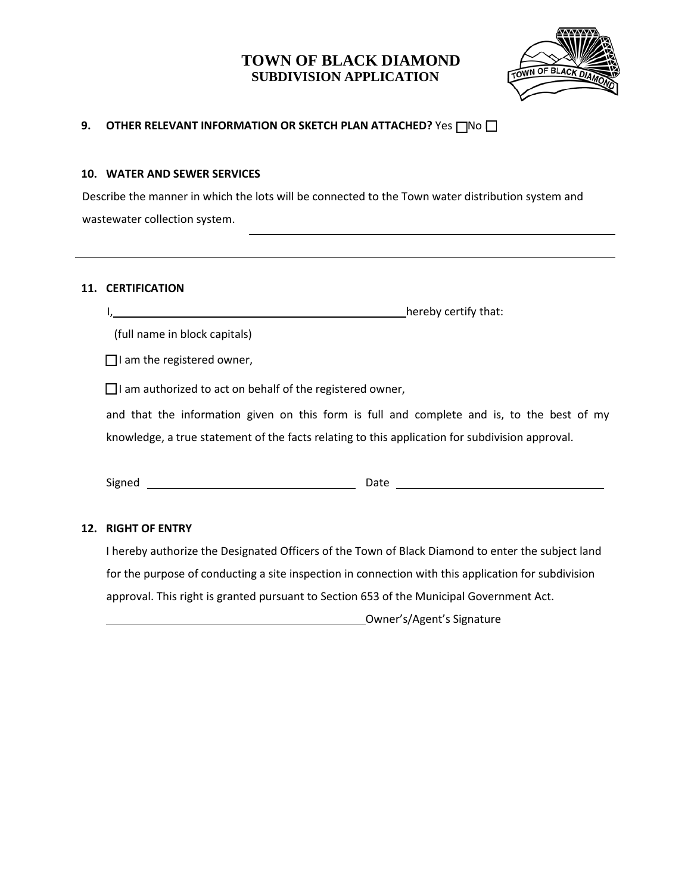

### **9. OTHER RELEVANT INFORMATION OR SKETCH PLAN ATTACHED?** Yes □ No □

#### **10. WATER AND SEWER SERVICES**

Describe the manner in which the lots will be connected to the Town water distribution system and wastewater collection system.

#### **11. CERTIFICATION**

I, hereby certify that:

(full name in block capitals)

 $\Box$  I am the registered owner,

 $\Box$ I am authorized to act on behalf of the registered owner,

and that the information given on this form is full and complete and is, to the best of my knowledge, a true statement of the facts relating to this application for subdivision approval.

Signed Date

#### **12. RIGHT OF ENTRY**

I hereby authorize the Designated Officers of the Town of Black Diamond to enter the subject land for the purpose of conducting a site inspection in connection with this application for subdivision approval. This right is granted pursuant to Section 653 of the Municipal Government Act.

Owner's/Agent's Signature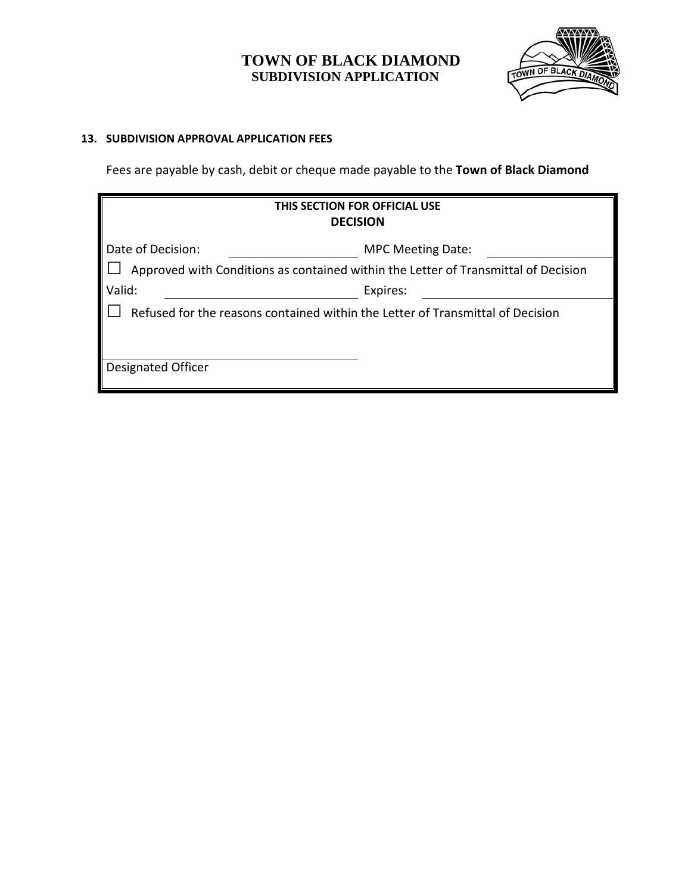

### **13. SUBDIVISION APPROVAL APPLICATION FEES**

Fees are payable by cash, debit or cheque made payable to the **Town of Black Diamond**

| THIS SECTION FOR OFFICIAL USE<br><b>DECISION</b>                                   |                          |  |  |  |
|------------------------------------------------------------------------------------|--------------------------|--|--|--|
| Date of Decision:                                                                  | <b>MPC Meeting Date:</b> |  |  |  |
| Approved with Conditions as contained within the Letter of Transmittal of Decision |                          |  |  |  |
| Valid:                                                                             | Expires:                 |  |  |  |
| Refused for the reasons contained within the Letter of Transmittal of Decision     |                          |  |  |  |
| <b>Designated Officer</b>                                                          |                          |  |  |  |